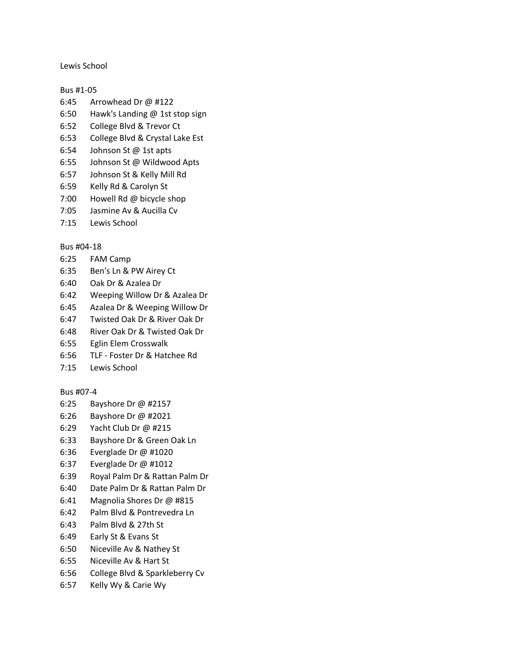Lewis School

Bus #1-05

- 6:45 Arrowhead Dr @ #122
- 6:50 Hawk's Landing @ 1st stop sign
- 6:52 College Blvd & Trevor Ct
- 6:53 College Blvd & Crystal Lake Est
- 6:54 Johnson St @ 1st apts
- 6:55 Johnson St @ Wildwood Apts
- 6:57 Johnson St & Kelly Mill Rd
- 6:59 Kelly Rd & Carolyn St
- 7:00 Howell Rd @ bicycle shop
- 7:05 Jasmine Av & Aucilla Cv
- 7:15 Lewis School

# Bus #04-18

- 6:25 FAM Camp
- 6:35 Ben's Ln & PW Airey Ct
- 6:40 Oak Dr & Azalea Dr
- 6:42 Weeping Willow Dr & Azalea Dr
- 6:45 Azalea Dr & Weeping Willow Dr
- 6:47 Twisted Oak Dr & River Oak Dr
- 6:48 River Oak Dr & Twisted Oak Dr
- 6:55 Eglin Elem Crosswalk
- 6:56 TLF Foster Dr & Hatchee Rd
- 7:15 Lewis School

# Bus #07-4

- 6:25 Bayshore Dr @ #2157
- 6:26 Bayshore Dr @ #2021
- 6:29 Yacht Club Dr @ #215
- 6:33 Bayshore Dr & Green Oak Ln
- 6:36 Everglade Dr @ #1020
- 6:37 Everglade Dr @ #1012
- 6:39 Royal Palm Dr & Rattan Palm Dr
- 6:40 Date Palm Dr & Rattan Palm Dr
- 6:41 Magnolia Shores Dr @ #815
- 6:42 Palm Blvd & Pontrevedra Ln
- 6:43 Palm Blvd & 27th St
- 6:49 Early St & Evans St
- 6:50 Niceville Av & Nathey St
- 6:55 Niceville Av & Hart St
- 6:56 College Blvd & Sparkleberry Cv
- 6:57 Kelly Wy & Carie Wy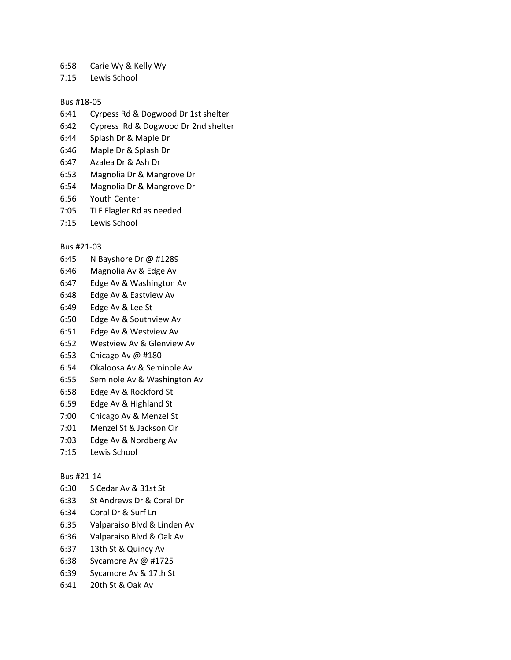- 6:58 Carie Wy & Kelly Wy
- 7:15 Lewis School

#### Bus #18-05

- 6:41 Cyrpess Rd & Dogwood Dr 1st shelter
- 6:42 Cypress Rd & Dogwood Dr 2nd shelter
- 6:44 Splash Dr & Maple Dr
- 6:46 Maple Dr & Splash Dr
- 6:47 Azalea Dr & Ash Dr
- 6:53 Magnolia Dr & Mangrove Dr
- 6:54 Magnolia Dr & Mangrove Dr
- 6:56 Youth Center
- 7:05 TLF Flagler Rd as needed
- 7:15 Lewis School

### Bus #21-03

- 6:45 N Bayshore Dr @ #1289
- 6:46 Magnolia Av & Edge Av
- 6:47 Edge Av & Washington Av
- 6:48 Edge Av & Eastview Av
- 6:49 Edge Av & Lee St
- 6:50 Edge Av & Southview Av
- 6:51 Edge Av & Westview Av
- 6:52 Westview Av & Glenview Av
- 6:53 Chicago Av @ #180
- 6:54 Okaloosa Av & Seminole Av
- 6:55 Seminole Av & Washington Av
- 6:58 Edge Av & Rockford St
- 6:59 Edge Av & Highland St
- 7:00 Chicago Av & Menzel St
- 7:01 Menzel St & Jackson Cir
- 7:03 Edge Av & Nordberg Av
- 7:15 Lewis School

# Bus #21-14

- 6:30 S Cedar Av & 31st St
- 6:33 St Andrews Dr & Coral Dr
- 6:34 Coral Dr & Surf Ln
- 6:35 Valparaiso Blvd & Linden Av
- 6:36 Valparaiso Blvd & Oak Av
- 6:37 13th St & Quincy Av
- 6:38 Sycamore Av @ #1725
- 6:39 Sycamore Av & 17th St
- 6:41 20th St & Oak Av